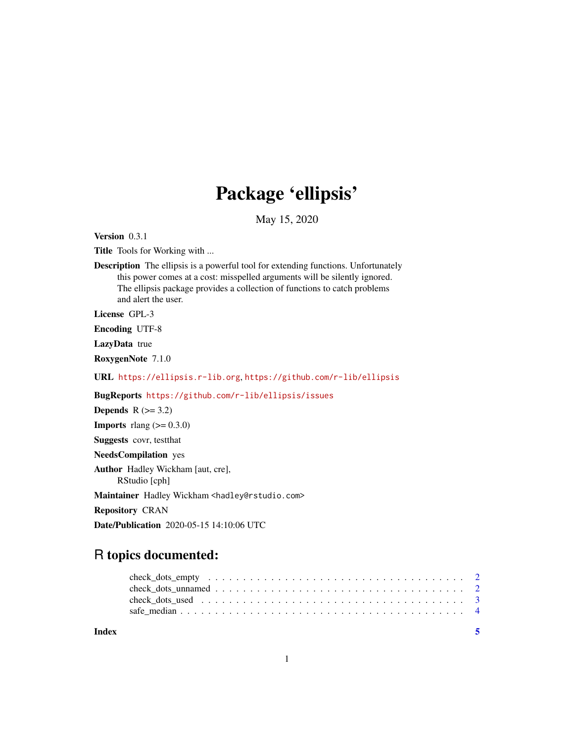## Package 'ellipsis'

May 15, 2020

<span id="page-0-0"></span>Version 0.3.1

Title Tools for Working with ...

Description The ellipsis is a powerful tool for extending functions. Unfortunately this power comes at a cost: misspelled arguments will be silently ignored. The ellipsis package provides a collection of functions to catch problems and alert the user.

License GPL-3

Encoding UTF-8

LazyData true

RoxygenNote 7.1.0

URL <https://ellipsis.r-lib.org>, <https://github.com/r-lib/ellipsis>

BugReports <https://github.com/r-lib/ellipsis/issues>

Depends  $R$  ( $>= 3.2$ )

**Imports** rlang  $(>= 0.3.0)$ 

Suggests covr, testthat

NeedsCompilation yes

Author Hadley Wickham [aut, cre], RStudio [cph]

Maintainer Hadley Wickham <hadley@rstudio.com>

Repository CRAN

Date/Publication 2020-05-15 14:10:06 UTC

### R topics documented:

| Index |                                                                                                              |
|-------|--------------------------------------------------------------------------------------------------------------|
|       |                                                                                                              |
|       | check dots used $\ldots \ldots \ldots \ldots \ldots \ldots \ldots \ldots \ldots \ldots \ldots \ldots \ldots$ |
|       |                                                                                                              |
|       |                                                                                                              |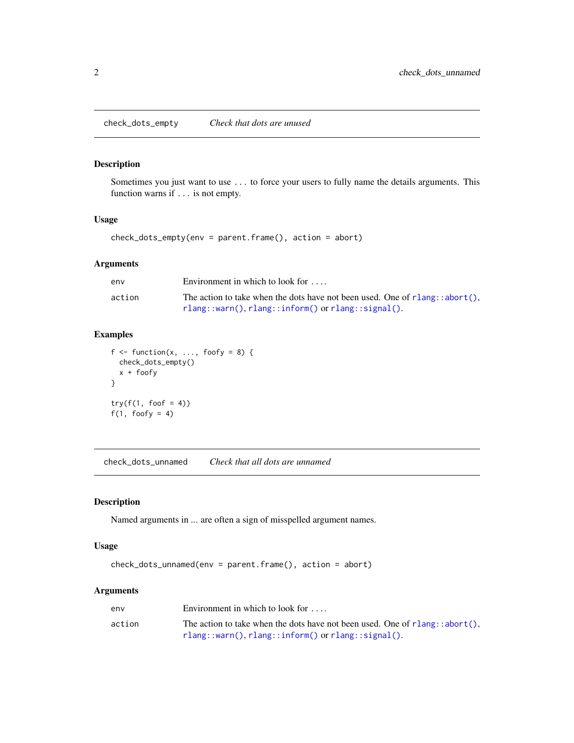<span id="page-1-0"></span>check\_dots\_empty *Check that dots are unused*

#### Description

Sometimes you just want to use ... to force your users to fully name the details arguments. This function warns if ... is not empty.

#### Usage

check\_dots\_empty(env = parent.frame(), action = abort)

#### Arguments

| env    | Environment in which to look for $\dots$                                       |
|--------|--------------------------------------------------------------------------------|
| action | The action to take when the dots have not been used. One of $rlang::abort()$ , |
|        | $rlang::warn(), rlang::inform() or rlang::signal()$ .                          |

#### Examples

```
f \leftarrow function(x, ..., footy = 8) {
  check_dots_empty()
  x + foofy
}
try(f(1, foot = 4))f(1, footy = 4)
```
check\_dots\_unnamed *Check that all dots are unnamed*

#### Description

Named arguments in ... are often a sign of misspelled argument names.

#### Usage

```
check_dots_unnamed(env = parent.frame(), action = abort)
```
#### Arguments

| env    | Environment in which to look for $\dots$                                       |
|--------|--------------------------------------------------------------------------------|
| action | The action to take when the dots have not been used. One of $rlang::abort()$ , |
|        | $rlang::warn(), rlang::inform() or rlang::signal()$ .                          |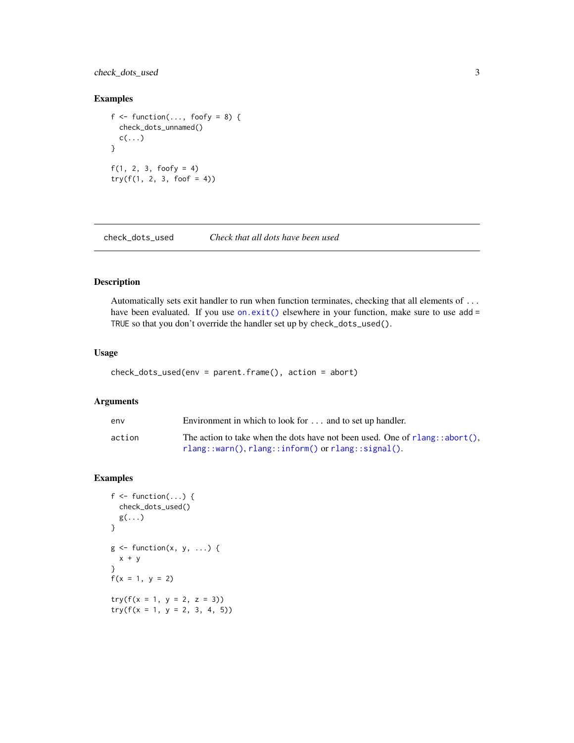<span id="page-2-0"></span>check\_dots\_used 3

#### Examples

```
f \leftarrow function(..., footy = 8) {
  check_dots_unnamed()
  c(\ldots)}
f(1, 2, 3, foofy = 4)try(f(1, 2, 3, foot = 4))
```
check\_dots\_used *Check that all dots have been used*

#### Description

Automatically sets exit handler to run when function terminates, checking that all elements of ... have been evaluated. If you use [on.exit\(\)](#page-0-0) elsewhere in your function, make sure to use add = TRUE so that you don't override the handler set up by check\_dots\_used().

#### Usage

check\_dots\_used(env = parent.frame(), action = abort)

#### Arguments

| env    | Environment in which to look for $\ldots$ and to set up handler.                                                                        |
|--------|-----------------------------------------------------------------------------------------------------------------------------------------|
| action | The action to take when the dots have not been used. One of $rlang::abort()$ ,<br>$rlang::warn(), rlang::inform() or rlang::signal()$ . |
|        |                                                                                                                                         |

#### Examples

```
f \leq function(...) {
 check_dots_used()
  g(...)
}
g \leftarrow function(x, y, ...) {
 x + y}
f(x = 1, y = 2)try(f(x = 1, y = 2, z = 3))try(f(x = 1, y = 2, 3, 4, 5))
```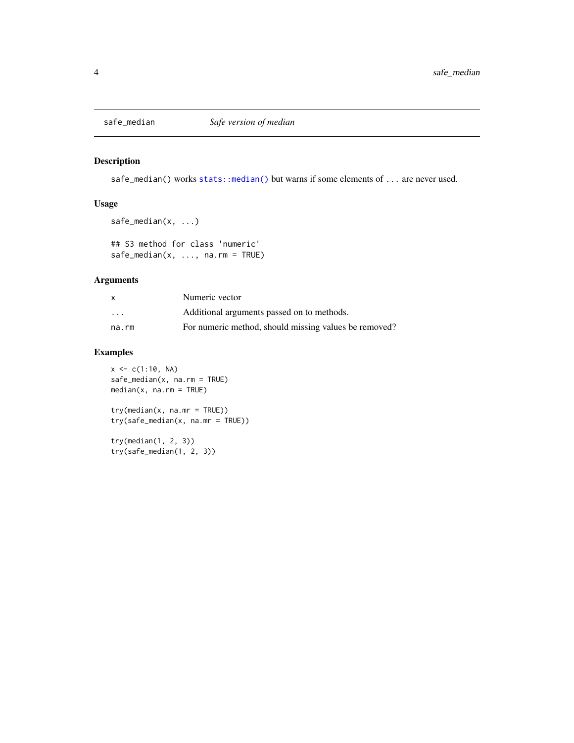<span id="page-3-0"></span>

#### Description

safe\_median() works [stats::median\(\)](#page-0-0) but warns if some elements of ... are never used.

#### Usage

```
safe_median(x, ...)
```
## S3 method for class 'numeric' safe\_median(x, ..., na.rm = TRUE)

#### Arguments

| x       | Numeric vector                                        |
|---------|-------------------------------------------------------|
| $\cdot$ | Additional arguments passed on to methods.            |
| na.rm   | For numeric method, should missing values be removed? |

#### Examples

```
x \leq c(1:10, NA)safe_median(x, na.rm = TRUE)
median(x, na.rm = TRUE)
```

```
try(median(x, na.mr = TRUE))
try(safe_median(x, na.mr = TRUE))
```
try(median(1, 2, 3)) try(safe\_median(1, 2, 3))